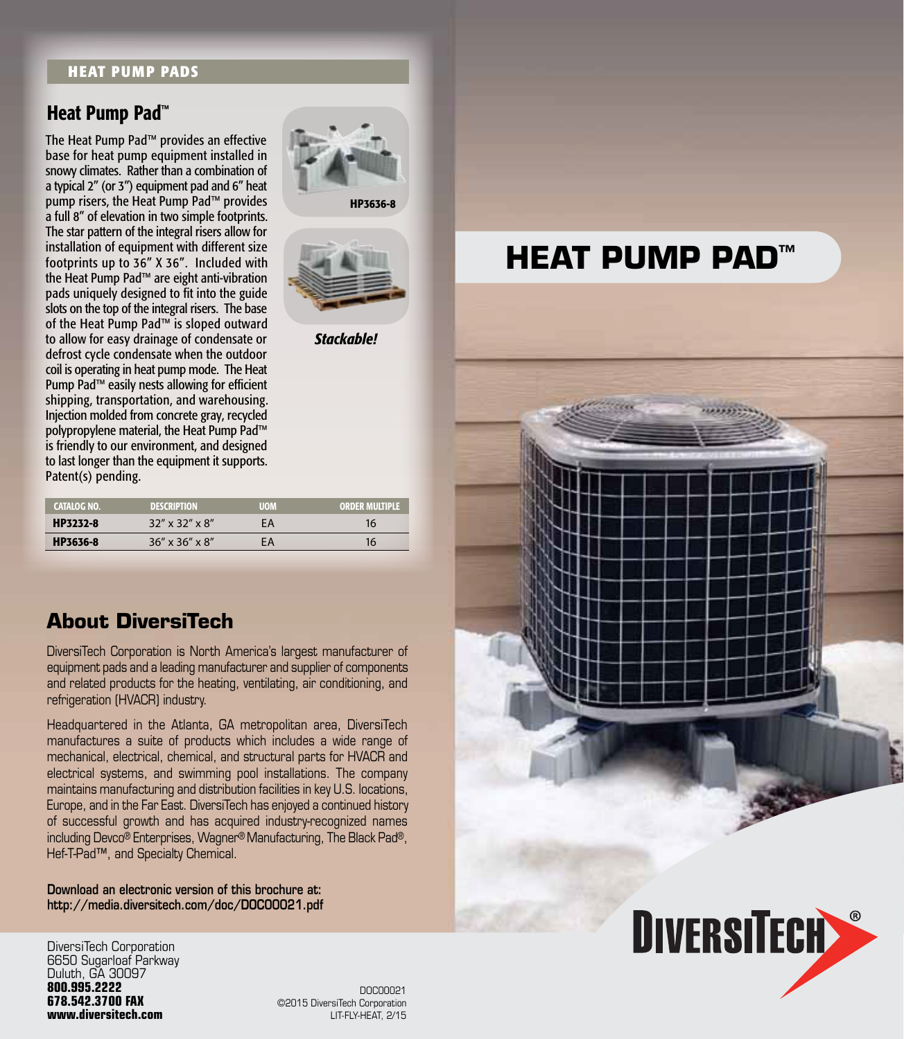## **HEAT PUMP PADS**

## Heat Pump Pad™

The Heat Pump Pad™ provides an effective base for heat pump equipment installed in snowy climates. Rather than a combination of a typical 2" (or 3") equipment pad and 6" heat pump risers, the Heat Pump Pad™ provides a full 8" of elevation in two simple footprints. The star pattern of the integral risers allow for installation of equipment with different size footprints up to 36" X 36". Included with the Heat Pump Pad™ are eight anti-vibration pads uniquely designed to fit into the guide slots on the top of the integral risers. The base of the Heat Pump Pad™ is sloped outward to allow for easy drainage of condensate or defrost cycle condensate when the outdoor coil is operating in heat pump mode. The Heat Pump Pad™ easily nests allowing for efficient shipping, transportation, and warehousing. Injection molded from concrete gray, recycled polypropylene material, the Heat Pump Pad™ is friendly to our environment, and designed to last longer than the equipment it supports. Patent(s) pending.

| CATALOG NO. | DESCRIPTION                   |    | ORDER N |
|-------------|-------------------------------|----|---------|
| HP3232-8    | $32''$ x $32''$ x $8''$       | ΞΑ |         |
| HP3636-8    | $36'' \times 36'' \times 8''$ | ΞA |         |

## **About DiversiTech**

DiversiTech Corporation is North America's largest manufacturer of equipment pads and a leading manufacturer and supplier of components and related products for the heating, ventilating, air conditioning, and refrigeration (HVACR) industry.

Headquartered in the Atlanta, GA metropolitan area, DiversiTech manufactures a suite of products which includes a wide range of mechanical, electrical, chemical, and structural parts for HVACR and electrical systems, and swimming pool installations. The company maintains manufacturing and distribution facilities in key U.S. locations, Europe, and in the Far East. DiversiTech has enjoyed a continued history of successful growth and has acquired industry-recognized names including Devco® Enterprises, Wagner® Manufacturing, The Black Pad®, Hef-T-Pad™, and Specialty Chemical.

Download an electronic version of this brochure at: http://media.diversitech.com/doc/DOC00021.pdf

DiversiTech Corporation 6650 Sugarloaf Parkway Duluth, GA 30097 **800.995.2222 678.542.3700 FAX www.diversitech.com**

©2015 DiversiTech Corporation LIT-FLY-HEAT, 2/15 DOC00021

HP3636-8

*Stackable!*